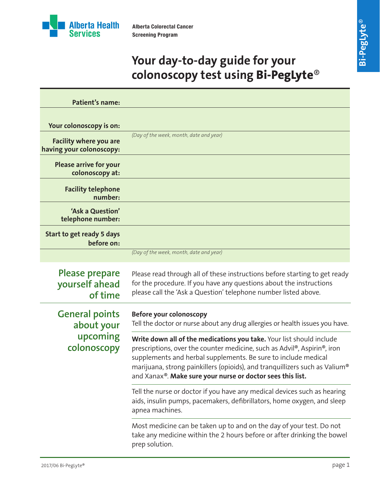

# **Your day-to-day guide for your colonoscopy test using Bi-PegLyte**®

| <b>Patient's name:</b>                                         |                                                                                                                                                                                                                                                                                                                                                                 |
|----------------------------------------------------------------|-----------------------------------------------------------------------------------------------------------------------------------------------------------------------------------------------------------------------------------------------------------------------------------------------------------------------------------------------------------------|
| Your colonoscopy is on:                                        | (Day of the week, month, date and year)                                                                                                                                                                                                                                                                                                                         |
| <b>Facility where you are</b><br>having your colonoscopy:      |                                                                                                                                                                                                                                                                                                                                                                 |
| <b>Please arrive for your</b><br>colonoscopy at:               |                                                                                                                                                                                                                                                                                                                                                                 |
| <b>Facility telephone</b><br>number:                           |                                                                                                                                                                                                                                                                                                                                                                 |
| 'Ask a Question'<br>telephone number:                          |                                                                                                                                                                                                                                                                                                                                                                 |
| Start to get ready 5 days<br>before on:                        |                                                                                                                                                                                                                                                                                                                                                                 |
|                                                                | (Day of the week, month, date and year)                                                                                                                                                                                                                                                                                                                         |
| <b>Please prepare</b><br>yourself ahead<br>of time             | Please read through all of these instructions before starting to get ready<br>for the procedure. If you have any questions about the instructions<br>please call the 'Ask a Question' telephone number listed above.                                                                                                                                            |
| <b>General points</b><br>about your<br>upcoming<br>colonoscopy | Before your colonoscopy<br>Tell the doctor or nurse about any drug allergies or health issues you have.                                                                                                                                                                                                                                                         |
|                                                                | Write down all of the medications you take. Your list should include<br>prescriptions, over the counter medicine, such as Advil®, Aspirin®, iron<br>supplements and herbal supplements. Be sure to include medical<br>marijuana, strong painkillers (opioids), and tranquillizers such as Valium®<br>and Xanax®. Make sure your nurse or doctor sees this list. |
|                                                                | Tell the nurse or doctor if you have any medical devices such as hearing<br>aids, insulin pumps, pacemakers, defibrillators, home oxygen, and sleep<br>apnea machines.                                                                                                                                                                                          |
|                                                                | Most medicine can be taken up to and on the day of your test. Do not<br>take any medicine within the 2 hours before or after drinking the bowel<br>prep solution.                                                                                                                                                                                               |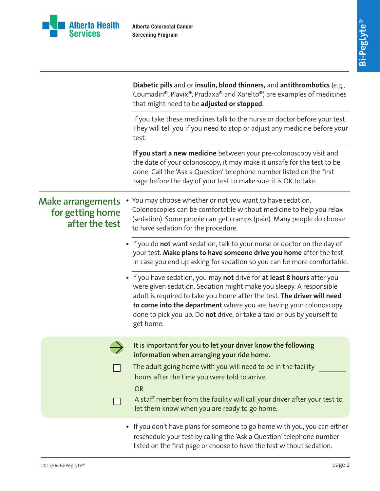

|                                                                | Diabetic pills and or insulin, blood thinners, and antithrombotics (e.g.,<br>Coumadin®, Plavix®, Pradaxa® and Xarelto®) are examples of medicines<br>that might need to be adjusted or stopped.                                                                                                                                                                                        |
|----------------------------------------------------------------|----------------------------------------------------------------------------------------------------------------------------------------------------------------------------------------------------------------------------------------------------------------------------------------------------------------------------------------------------------------------------------------|
|                                                                | If you take these medicines talk to the nurse or doctor before your test.<br>They will tell you if you need to stop or adjust any medicine before your<br>test.                                                                                                                                                                                                                        |
|                                                                | If you start a new medicine between your pre-colonoscopy visit and<br>the date of your colonoscopy, it may make it unsafe for the test to be<br>done. Call the 'Ask a Question' telephone number listed on the first<br>page before the day of your test to make sure it is OK to take.                                                                                                |
| <b>Make arrangements</b><br>for getting home<br>after the test | You may choose whether or not you want to have sedation.<br>Colonoscopies can be comfortable without medicine to help you relax<br>(sedation). Some people can get cramps (pain). Many people do choose<br>to have sedation for the procedure.                                                                                                                                         |
|                                                                | • If you do not want sedation, talk to your nurse or doctor on the day of<br>your test. Make plans to have someone drive you home after the test,<br>in case you end up asking for sedation so you can be more comfortable.                                                                                                                                                            |
|                                                                | • If you have sedation, you may not drive for at least 8 hours after you<br>were given sedation. Sedation might make you sleepy. A responsible<br>adult is required to take you home after the test. The driver will need<br>to come into the department where you are having your colonoscopy<br>done to pick you up. Do not drive, or take a taxi or bus by yourself to<br>get home. |
|                                                                | It is important for you to let your driver know the following<br>information when arranging your ride home.<br>The adult going home with you will need to be in the facility<br>hours after the time you were told to arrive.<br><b>OR</b><br>A staff member from the facility will call your driver after your test to<br>let them know when you are ready to go home.                |
|                                                                | • If you don't have plans for someone to go home with you, you can either<br>reschedule your test by calling the 'Ask a Question' telephone number<br>listed on the first page or choose to have the test without sedation.                                                                                                                                                            |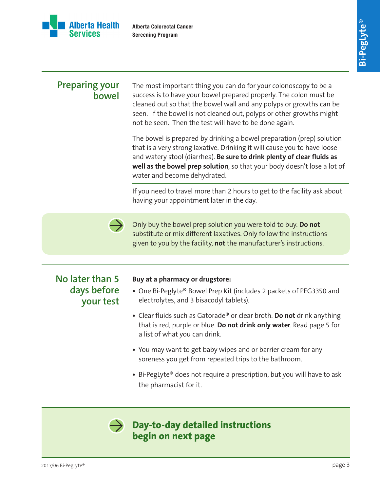

### **Preparing your bowel**

The most important thing you can do for your colonoscopy to be a success is to have your bowel prepared properly. The colon must be cleaned out so that the bowel wall and any polyps or growths can be seen. If the bowel is not cleaned out, polyps or other growths might not be seen. Then the test will have to be done again.

The bowel is prepared by drinking a bowel preparation (prep) solution that is a very strong laxative. Drinking it will cause you to have loose and watery stool (diarrhea). **Be sure to drink plenty of clear fluids as well as the bowel prep solution**, so that your body doesn't lose a lot of water and become dehydrated.

If you need to travel more than 2 hours to get to the facility ask about having your appointment later in the day.



Only buy the bowel prep solution you were told to buy. **Do not** substitute or mix different laxatives. Only follow the instructions given to you by the facility, **not** the manufacturer's instructions.

### **No later than 5 days before your test**

#### **Buy at a pharmacy or drugstore:**

- **•** One Bi-Peglyte® Bowel Prep Kit (includes 2 packets of PEG3350 and electrolytes, and 3 bisacodyl tablets).
- **•** Clear fluids such as Gatorade® or clear broth. **Do not** drink anything that is red, purple or blue. **Do not drink only water**. Read page 5 for a list of what you can drink.
- **•** You may want to get baby wipes and or barrier cream for any soreness you get from repeated trips to the bathroom.
- **•** Bi-PegLyte® does not require a prescription, but you will have to ask the pharmacist for it.



### **Day-to-day detailed instructions begin on next page**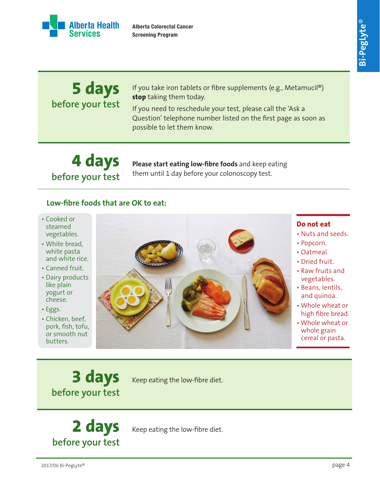**Bi-PegLyte** ®



**Alberta Colorectal Cancer Screening Program**

#### **5 days before your test** If you take iron tablets or fibre supplements (e.g., Metamucil®) **stop** taking them today. If you need to reschedule your test, please call the 'Ask a Question' telephone number listed on the first page as soon as possible to let them know.

**4 days before your test**

**Please start eating low-fibre foods** and keep eating them until 1 day before your colonoscopy test.

#### **Low-fibre foods that are OK to eat:**

- Cooked or steamed vegetables.
- White bread, white pasta and white rice.
- Canned fruit.
- Dairy products like plain yogurt or cheese.
- Eggs.
- Chicken, beef, pork, fish, tofu, or smooth nut butters.



#### **Do not eat**

- Nuts and seeds.
- Popcorn.
- Oatmeal.
- Dried fruit.
- Raw fruits and vegetables.
- Beans, lentils, and quinoa.
- Whole wheat or high fibre bread.
- Whole wheat or whole grain cereal or pasta.

**3 days before your test**

Keep eating the low-fibre diet.

**2 days before your test**

Keep eating the low-fibre diet.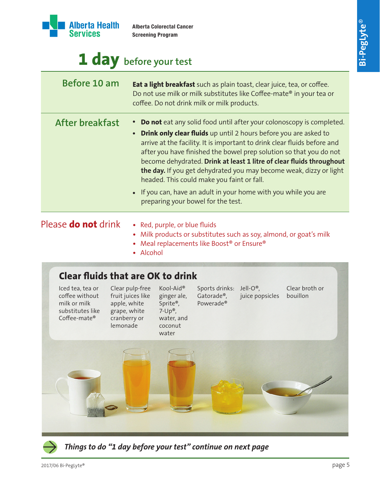

**Before 10 am**

**After breakfast** 

| <b>Alberta Colorectal Cancer</b><br><b>Screening Program</b>                                                                                                                                          | $\circledcirc$<br>Bi-PegLyte |
|-------------------------------------------------------------------------------------------------------------------------------------------------------------------------------------------------------|------------------------------|
| efore your test                                                                                                                                                                                       |                              |
| <b>Eat a light breakfast</b> such as plain toast, clear juice, tea, or coffee.<br>Do not use milk or milk substitutes like Coffee-mate® in your tea or<br>coffee. Do not drink milk or milk products. |                              |
| • Do not eat any solid food until after your colonoscopy is completed.                                                                                                                                |                              |

- **• Drink only clear fluids** up until 2 hours before you are asked to arrive at the facility. It is important to drink clear fluids before and after you have finished the bowel prep solution so that you do not become dehydrated. **Drink at least 1 litre of clear fluids throughout the day.** If you get dehydrated you may become weak, dizzy or light headed. This could make you faint or fall.
	- **•** If you can, have an adult in your home with you while you are preparing your bowel for the test.

## Please **do not** drink

- Red, purple, or blue fluids
- **•** Milk products or substitutes such as soy, almond, or goat's milk
- **•** Meal replacements like Boost® or Ensure®
- Alcohol

## **Clear fluids that are OK to drink**





*Things to do "1 day before your test" continue on next page*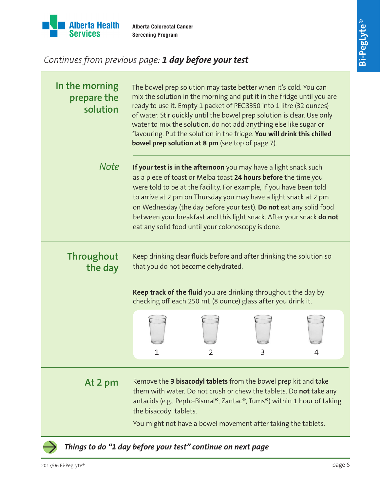

# *Continues from previous page: 1 day before your test*

| In the morning<br>prepare the<br>solution | The bowel prep solution may taste better when it's cold. You can<br>mix the solution in the morning and put it in the fridge until you are<br>ready to use it. Empty 1 packet of PEG3350 into 1 litre (32 ounces)<br>of water. Stir quickly until the bowel prep solution is clear. Use only<br>water to mix the solution, do not add anything else like sugar or<br>flavouring. Put the solution in the fridge. You will drink this chilled<br><b>bowel prep solution at 8 pm</b> (see top of page 7). |  |  |  |
|-------------------------------------------|---------------------------------------------------------------------------------------------------------------------------------------------------------------------------------------------------------------------------------------------------------------------------------------------------------------------------------------------------------------------------------------------------------------------------------------------------------------------------------------------------------|--|--|--|
| <b>Note</b>                               | If your test is in the afternoon you may have a light snack such<br>as a piece of toast or Melba toast 24 hours before the time you<br>were told to be at the facility. For example, if you have been told<br>to arrive at 2 pm on Thursday you may have a light snack at 2 pm<br>on Wednesday (the day before your test). Do not eat any solid food<br>between your breakfast and this light snack. After your snack do not<br>eat any solid food until your colonoscopy is done.                      |  |  |  |
| <b>Throughout</b><br>the day              | Keep drinking clear fluids before and after drinking the solution so<br>that you do not become dehydrated.                                                                                                                                                                                                                                                                                                                                                                                              |  |  |  |
|                                           | Keep track of the fluid you are drinking throughout the day by<br>checking off each 250 mL (8 ounce) glass after you drink it.                                                                                                                                                                                                                                                                                                                                                                          |  |  |  |
|                                           |                                                                                                                                                                                                                                                                                                                                                                                                                                                                                                         |  |  |  |
| At 2 pm                                   | Remove the 3 bisacodyl tablets from the bowel prep kit and take<br>them with water. Do not crush or chew the tablets. Do <b>not</b> take any<br>antacids (e.g., Pepto-Bismal®, Zantac®, Tums®) within 1 hour of taking<br>the bisacodyl tablets.                                                                                                                                                                                                                                                        |  |  |  |
|                                           | You might not have a bowel movement after taking the tablets.                                                                                                                                                                                                                                                                                                                                                                                                                                           |  |  |  |
|                                           | Things to do "1 day before your test" continue on next page                                                                                                                                                                                                                                                                                                                                                                                                                                             |  |  |  |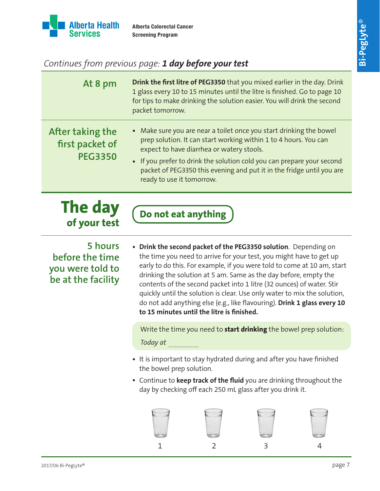

# *Continues from previous page: 1 day before your test*

| At 8 pm                                                              | Drink the first litre of PEG3350 that you mixed earlier in the day. Drink<br>1 glass every 10 to 15 minutes until the litre is finished. Go to page 10<br>for tips to make drinking the solution easier. You will drink the second<br>packet tomorrow.                                                                                                                                                                                                                                                                                                               |  |  |
|----------------------------------------------------------------------|----------------------------------------------------------------------------------------------------------------------------------------------------------------------------------------------------------------------------------------------------------------------------------------------------------------------------------------------------------------------------------------------------------------------------------------------------------------------------------------------------------------------------------------------------------------------|--|--|
| After taking the<br>first packet of<br><b>PEG3350</b>                | • Make sure you are near a toilet once you start drinking the bowel<br>prep solution. It can start working within 1 to 4 hours. You can<br>expect to have diarrhea or watery stools.<br>• If you prefer to drink the solution cold you can prepare your second<br>packet of PEG3350 this evening and put it in the fridge until you are<br>ready to use it tomorrow.                                                                                                                                                                                                 |  |  |
| The day<br>of your test                                              | Do not eat anything                                                                                                                                                                                                                                                                                                                                                                                                                                                                                                                                                  |  |  |
| 5 hours<br>before the time<br>you were told to<br>be at the facility | • Drink the second packet of the PEG3350 solution. Depending on<br>the time you need to arrive for your test, you might have to get up<br>early to do this. For example, if you were told to come at 10 am, start<br>drinking the solution at 5 am. Same as the day before, empty the<br>contents of the second packet into 1 litre (32 ounces) of water. Stir<br>quickly until the solution is clear. Use only water to mix the solution,<br>do not add anything else (e.g., like flavouring). Drink 1 glass every 10<br>to 15 minutes until the litre is finished. |  |  |
|                                                                      | Write the time you need to start drinking the bowel prep solution:<br>Today at                                                                                                                                                                                                                                                                                                                                                                                                                                                                                       |  |  |
|                                                                      | • It is important to stay hydrated during and after you have finished<br>the bowel prep solution.<br>• Continue to keep track of the fluid you are drinking throughout the<br>day by checking off each 250 mL glass after you drink it.                                                                                                                                                                                                                                                                                                                              |  |  |

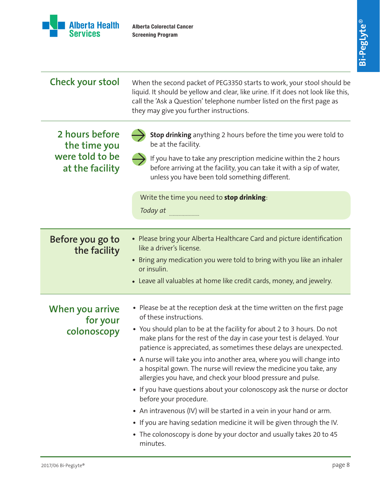

| <b>Check your stool</b>                                              | When the second packet of PEG3350 starts to work, your stool should be<br>liquid. It should be yellow and clear, like urine. If it does not look like this,<br>call the 'Ask a Question' telephone number listed on the first page as<br>they may give you further instructions.                                                                                                                                                                                                                                                                                                                                                                                                                                                                                                                                                                                                  |  |  |
|----------------------------------------------------------------------|-----------------------------------------------------------------------------------------------------------------------------------------------------------------------------------------------------------------------------------------------------------------------------------------------------------------------------------------------------------------------------------------------------------------------------------------------------------------------------------------------------------------------------------------------------------------------------------------------------------------------------------------------------------------------------------------------------------------------------------------------------------------------------------------------------------------------------------------------------------------------------------|--|--|
| 2 hours before<br>the time you<br>were told to be<br>at the facility | Stop drinking anything 2 hours before the time you were told to<br>be at the facility.<br>If you have to take any prescription medicine within the 2 hours<br>before arriving at the facility, you can take it with a sip of water,<br>unless you have been told something different.<br>Write the time you need to stop drinking:                                                                                                                                                                                                                                                                                                                                                                                                                                                                                                                                                |  |  |
|                                                                      | Today at                                                                                                                                                                                                                                                                                                                                                                                                                                                                                                                                                                                                                                                                                                                                                                                                                                                                          |  |  |
|                                                                      |                                                                                                                                                                                                                                                                                                                                                                                                                                                                                                                                                                                                                                                                                                                                                                                                                                                                                   |  |  |
| Before you go to<br>the facility                                     | • Please bring your Alberta Healthcare Card and picture identification<br>like a driver's license.<br>• Bring any medication you were told to bring with you like an inhaler<br>or insulin.<br>• Leave all valuables at home like credit cards, money, and jewelry.                                                                                                                                                                                                                                                                                                                                                                                                                                                                                                                                                                                                               |  |  |
| When you arrive<br>for your<br>colonoscopy                           | • Please be at the reception desk at the time written on the first page<br>of these instructions.<br>• You should plan to be at the facility for about 2 to 3 hours. Do not<br>make plans for the rest of the day in case your test is delayed. Your<br>patience is appreciated, as sometimes these delays are unexpected.<br>• A nurse will take you into another area, where you will change into<br>a hospital gown. The nurse will review the medicine you take, any<br>allergies you have, and check your blood pressure and pulse.<br>• If you have questions about your colonoscopy ask the nurse or doctor<br>before your procedure.<br>• An intravenous (IV) will be started in a vein in your hand or arm.<br>• If you are having sedation medicine it will be given through the IV.<br>• The colonoscopy is done by your doctor and usually takes 20 to 45<br>minutes. |  |  |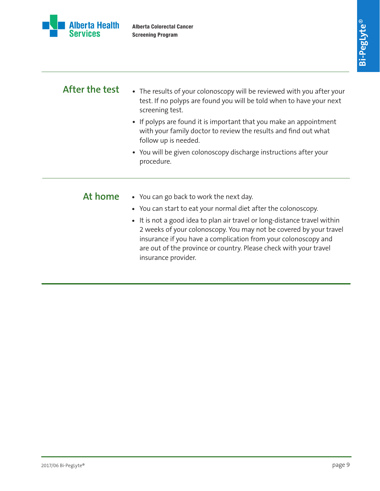

| After the test | • The results of your colonoscopy will be reviewed with you after your<br>test. If no polyps are found you will be told when to have your next<br>screening test.                                                                                                                                             |  |
|----------------|---------------------------------------------------------------------------------------------------------------------------------------------------------------------------------------------------------------------------------------------------------------------------------------------------------------|--|
|                | • If polyps are found it is important that you make an appointment<br>with your family doctor to review the results and find out what<br>follow up is needed.                                                                                                                                                 |  |
|                | • You will be given colonoscopy discharge instructions after your<br>procedure.                                                                                                                                                                                                                               |  |
| At home        | • You can go back to work the next day.                                                                                                                                                                                                                                                                       |  |
|                | • You can start to eat your normal diet after the colonoscopy.                                                                                                                                                                                                                                                |  |
|                | • It is not a good idea to plan air travel or long-distance travel within<br>2 weeks of your colonoscopy. You may not be covered by your travel<br>insurance if you have a complication from your colonoscopy and<br>are out of the province or country. Please check with your travel<br>insurance provider. |  |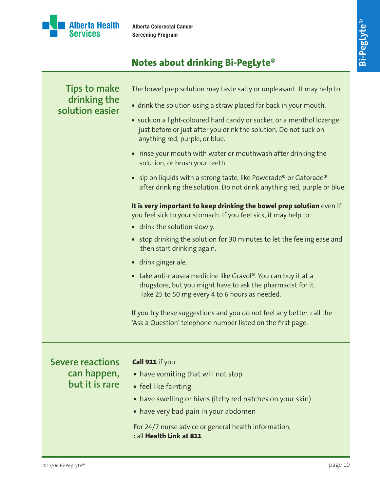

# **Notes about drinking Bi-PegLyte**®

| <b>Tips to make</b>             | The bowel prep solution may taste salty or unpleasant. It may help to:                                                                                                         |
|---------------------------------|--------------------------------------------------------------------------------------------------------------------------------------------------------------------------------|
| drinking the<br>solution easier | • drink the solution using a straw placed far back in your mouth.                                                                                                              |
|                                 | • suck on a light-coloured hard candy or sucker, or a menthol lozenge<br>just before or just after you drink the solution. Do not suck on<br>anything red, purple, or blue.    |
|                                 | • rinse your mouth with water or mouthwash after drinking the<br>solution, or brush your teeth.                                                                                |
|                                 | • sip on liquids with a strong taste, like Powerade <sup>®</sup> or Gatorade <sup>®</sup><br>after drinking the solution. Do not drink anything red, purple or blue.           |
|                                 | It is very important to keep drinking the bowel prep solution even if<br>you feel sick to your stomach. If you feel sick, it may help to:                                      |
|                                 | • drink the solution slowly.                                                                                                                                                   |
|                                 | • stop drinking the solution for 30 minutes to let the feeling ease and<br>then start drinking again.                                                                          |
|                                 | • drink ginger ale.                                                                                                                                                            |
|                                 | • take anti-nausea medicine like Gravol®. You can buy it at a<br>drugstore, but you might have to ask the pharmacist for it.<br>Take 25 to 50 mg every 4 to 6 hours as needed. |
|                                 | If you try these suggestions and you do not feel any better, call the<br>'Ask a Question' telephone number listed on the first page.                                           |
| <b>Severe reactions</b>         | Call 911 if you:                                                                                                                                                               |
| can happen,                     | • have vomiting that will not stop                                                                                                                                             |
| but it is rare                  | • feel like fainting                                                                                                                                                           |
|                                 | • have swelling or hives (itchy red patches on your skin)                                                                                                                      |
|                                 | • have very bad pain in your abdomen                                                                                                                                           |
|                                 |                                                                                                                                                                                |

For 24/7 nurse advice or general health information, call **Health Link at 811**.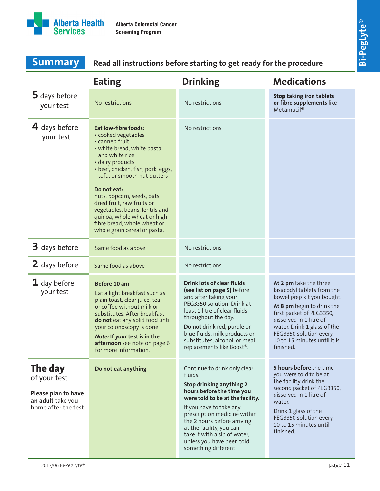

| <b>Summary</b>                                                                              | Read all instructions before starting to get ready for the procedure                                                                                                                                                                                                                                 |                                                                                                                                                                                                                                                                                                                                                 |                                                                                                                                                                                                                                                                               |
|---------------------------------------------------------------------------------------------|------------------------------------------------------------------------------------------------------------------------------------------------------------------------------------------------------------------------------------------------------------------------------------------------------|-------------------------------------------------------------------------------------------------------------------------------------------------------------------------------------------------------------------------------------------------------------------------------------------------------------------------------------------------|-------------------------------------------------------------------------------------------------------------------------------------------------------------------------------------------------------------------------------------------------------------------------------|
|                                                                                             | <b>Eating</b>                                                                                                                                                                                                                                                                                        | <b>Drinking</b>                                                                                                                                                                                                                                                                                                                                 | <b>Medications</b>                                                                                                                                                                                                                                                            |
| 5 days before<br>your test                                                                  | No restrictions                                                                                                                                                                                                                                                                                      | No restrictions                                                                                                                                                                                                                                                                                                                                 | <b>Stop taking iron tablets</b><br>or fibre supplements like<br>Metamucil <sup>®</sup>                                                                                                                                                                                        |
| 4 days before<br>your test                                                                  | <b>Eat low-fibre foods:</b><br>• cooked vegetables<br>• canned fruit<br>• white bread, white pasta<br>and white rice<br>· dairy products<br>· beef, chicken, fish, pork, eggs,<br>tofu, or smooth nut butters<br>Do not eat:                                                                         | No restrictions                                                                                                                                                                                                                                                                                                                                 |                                                                                                                                                                                                                                                                               |
|                                                                                             | nuts, popcorn, seeds, oats,<br>dried fruit, raw fruits or<br>vegetables, beans, lentils and<br>quinoa, whole wheat or high<br>fibre bread, whole wheat or<br>whole grain cereal or pasta.                                                                                                            |                                                                                                                                                                                                                                                                                                                                                 |                                                                                                                                                                                                                                                                               |
| 3 days before                                                                               | Same food as above                                                                                                                                                                                                                                                                                   | No restrictions                                                                                                                                                                                                                                                                                                                                 |                                                                                                                                                                                                                                                                               |
| 2 days before                                                                               | Same food as above                                                                                                                                                                                                                                                                                   | No restrictions                                                                                                                                                                                                                                                                                                                                 |                                                                                                                                                                                                                                                                               |
| $\mathbf 1$ day before<br>your test                                                         | Before 10 am<br>Eat a light breakfast such as<br>plain toast, clear juice, tea<br>or coffee without milk or<br>substitutes. After breakfast<br>do not eat any solid food until<br>your colonoscopy is done.<br>Note: If your test is in the<br>afternoon see note on page 6<br>for more information. | <b>Drink lots of clear fluids</b><br>(see list on page 5) before<br>and after taking your<br>PEG3350 solution. Drink at<br>least 1 litre of clear fluids<br>throughout the day.<br>Do not drink red, purple or<br>blue fluids, milk products or<br>substitutes, alcohol, or meal<br>replacements like Boost®.                                   | At 2 pm take the three<br>bisacodyl tablets from the<br>bowel prep kit you bought.<br>At 8 pm begin to drink the<br>first packet of PEG3350,<br>dissolved in 1 litre of<br>water. Drink 1 glass of the<br>PEG3350 solution every<br>10 to 15 minutes until it is<br>finished. |
| The day<br>of your test<br>Please plan to have<br>an adult take you<br>home after the test. | Do not eat anything                                                                                                                                                                                                                                                                                  | Continue to drink only clear<br>fluids.<br>Stop drinking anything 2<br>hours before the time you<br>were told to be at the facility.<br>If you have to take any<br>prescription medicine within<br>the 2 hours before arriving<br>at the facility, you can<br>take it with a sip of water,<br>unless you have been told<br>something different. | 5 hours before the time<br>you were told to be at<br>the facility drink the<br>second packet of PEG3350,<br>dissolved in 1 litre of<br>water.<br>Drink 1 glass of the<br>PEG3350 solution every<br>10 to 15 minutes until<br>finished.                                        |